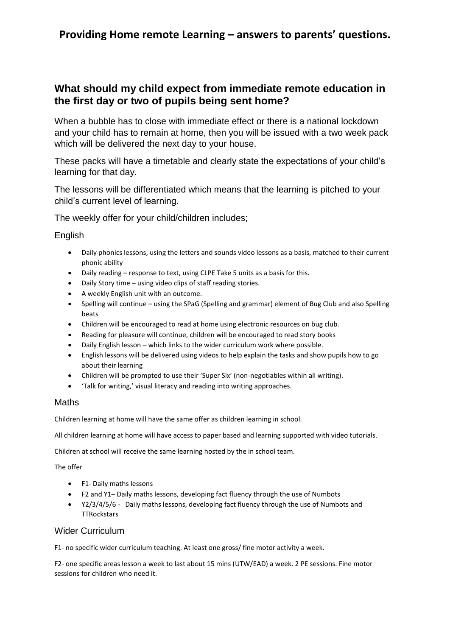### **What should my child expect from immediate remote education in the first day or two of pupils being sent home?**

When a bubble has to close with immediate effect or there is a national lockdown and your child has to remain at home, then you will be issued with a two week pack which will be delivered the next day to your house.

These packs will have a timetable and clearly state the expectations of your child's learning for that day.

The lessons will be differentiated which means that the learning is pitched to your child's current level of learning.

The weekly offer for your child/children includes;

**English** 

- Daily phonics lessons, using the letters and sounds video lessons as a basis, matched to their current phonic ability
- Daily reading response to text, using CLPE Take 5 units as a basis for this.
- Daily Story time using video clips of staff reading stories.
- A weekly English unit with an outcome.
- Spelling will continue using the SPaG (Spelling and grammar) element of Bug Club and also Spelling beats
- Children will be encouraged to read at home using electronic resources on bug club.
- Reading for pleasure will continue, children will be encouraged to read story books
- Daily English lesson which links to the wider curriculum work where possible.
- English lessons will be delivered using videos to help explain the tasks and show pupils how to go about their learning
- Children will be prompted to use their 'Super Six' (non-negotiables within all writing).
- 'Talk for writing,' visual literacy and reading into writing approaches.

#### Maths

Children learning at home will have the same offer as children learning in school.

All children learning at home will have access to paper based and learning supported with video tutorials.

Children at school will receive the same learning hosted by the in school team.

The offer

- F1- Daily maths lessons
- F2 and Y1– Daily maths lessons, developing fact fluency through the use of Numbots
- Y2/3/4/5/6 Daily maths lessons, developing fact fluency through the use of Numbots and **TTRockstars**

#### Wider Curriculum

F1- no specific wider curriculum teaching. At least one gross/ fine motor activity a week.

F2- one specific areas lesson a week to last about 15 mins (UTW/EAD) a week. 2 PE sessions. Fine motor sessions for children who need it.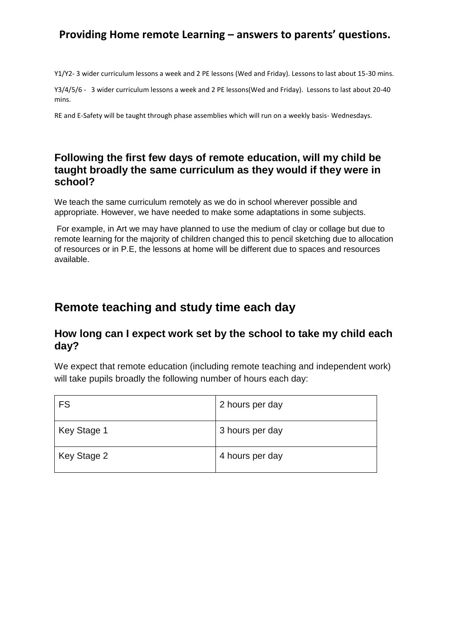Y1/Y2- 3 wider curriculum lessons a week and 2 PE lessons (Wed and Friday). Lessons to last about 15-30 mins.

Y3/4/5/6 - 3 wider curriculum lessons a week and 2 PE lessons(Wed and Friday). Lessons to last about 20-40 mins.

RE and E-Safety will be taught through phase assemblies which will run on a weekly basis- Wednesdays.

#### **Following the first few days of remote education, will my child be taught broadly the same curriculum as they would if they were in school?**

We teach the same curriculum remotely as we do in school wherever possible and appropriate. However, we have needed to make some adaptations in some subjects.

For example, in Art we may have planned to use the medium of clay or collage but due to remote learning for the majority of children changed this to pencil sketching due to allocation of resources or in P.E, the lessons at home will be different due to spaces and resources available.

# **Remote teaching and study time each day**

#### **How long can I expect work set by the school to take my child each day?**

We expect that remote education (including remote teaching and independent work) will take pupils broadly the following number of hours each day:

| <b>FS</b>   | 2 hours per day |
|-------------|-----------------|
| Key Stage 1 | 3 hours per day |
| Key Stage 2 | 4 hours per day |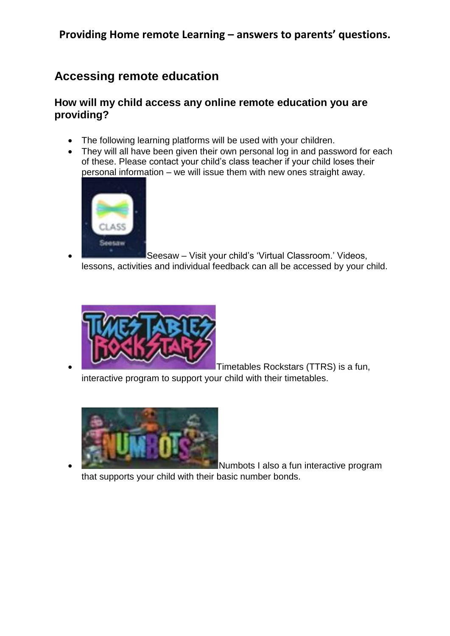# **Accessing remote education**

#### **How will my child access any online remote education you are providing?**

- The following learning platforms will be used with your children.
- They will all have been given their own personal log in and password for each of these. Please contact your child's class teacher if your child loses their personal information – we will issue them with new ones straight away.



 Seesaw – Visit your child's 'Virtual Classroom.' Videos, lessons, activities and individual feedback can all be accessed by your child.



 Timetables Rockstars (TTRS) is a fun, interactive program to support your child with their timetables.



 Numbots I also a fun interactive program that supports your child with their basic number bonds.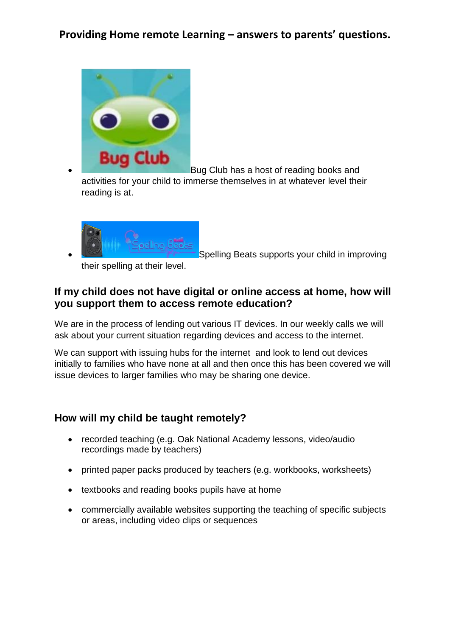

 Bug Club has a host of reading books and activities for your child to immerse themselves in at whatever level their reading is at.



Spelling Beats supports your child in improving

their spelling at their level.

### **If my child does not have digital or online access at home, how will you support them to access remote education?**

We are in the process of lending out various IT devices. In our weekly calls we will ask about your current situation regarding devices and access to the internet.

We can support with issuing hubs for the internet and look to lend out devices initially to families who have none at all and then once this has been covered we will issue devices to larger families who may be sharing one device.

### **How will my child be taught remotely?**

- recorded teaching (e.g. Oak National Academy lessons, video/audio recordings made by teachers)
- printed paper packs produced by teachers (e.g. workbooks, worksheets)
- textbooks and reading books pupils have at home
- commercially available websites supporting the teaching of specific subjects or areas, including video clips or sequences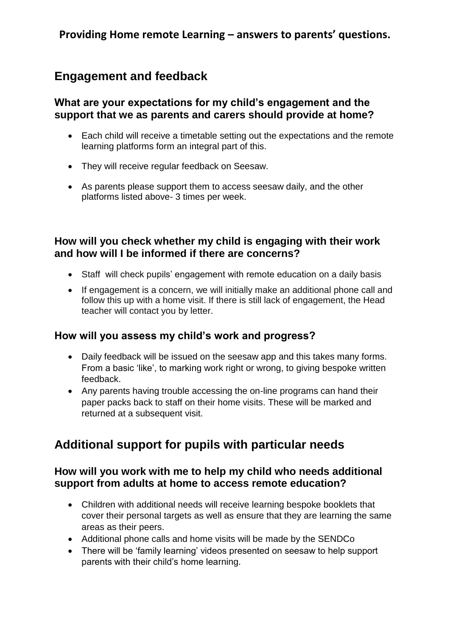# **Engagement and feedback**

#### **What are your expectations for my child's engagement and the support that we as parents and carers should provide at home?**

- Each child will receive a timetable setting out the expectations and the remote learning platforms form an integral part of this.
- They will receive regular feedback on Seesaw.
- As parents please support them to access seesaw daily, and the other platforms listed above- 3 times per week.

### **How will you check whether my child is engaging with their work and how will I be informed if there are concerns?**

- Staff will check pupils' engagement with remote education on a daily basis
- If engagement is a concern, we will initially make an additional phone call and follow this up with a home visit. If there is still lack of engagement, the Head teacher will contact you by letter.

#### **How will you assess my child's work and progress?**

- Daily feedback will be issued on the seesaw app and this takes many forms. From a basic 'like', to marking work right or wrong, to giving bespoke written feedback.
- Any parents having trouble accessing the on-line programs can hand their paper packs back to staff on their home visits. These will be marked and returned at a subsequent visit.

# **Additional support for pupils with particular needs**

### **How will you work with me to help my child who needs additional support from adults at home to access remote education?**

- Children with additional needs will receive learning bespoke booklets that cover their personal targets as well as ensure that they are learning the same areas as their peers.
- Additional phone calls and home visits will be made by the SENDCo
- There will be 'family learning' videos presented on seesaw to help support parents with their child's home learning.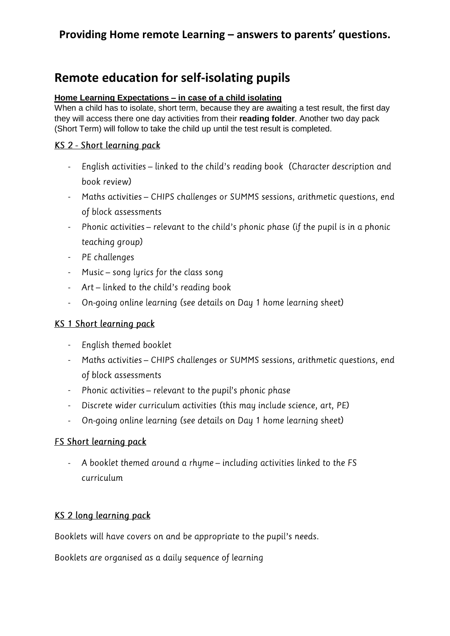# **Remote education for self-isolating pupils**

#### **Home Learning Expectations – in case of a child isolating**

When a child has to isolate, short term, because they are awaiting a test result, the first day they will access there one day activities from their **reading folder**. Another two day pack (Short Term) will follow to take the child up until the test result is completed.

#### KS 2 - Short learning pack

- English activities linked to the child's reading book (Character description and book review)
- Maths activities CHIPS challenges or SUMMS sessions, arithmetic questions, end of block assessments
- Phonic activities relevant to the child's phonic phase (if the pupil is in a phonic teaching group)
- PE challenges
- Music song lyrics for the class song
- Art linked to the child's reading book
- On-going online learning (see details on Day 1 home learning sheet)

#### KS 1 Short learning pack

- English themed booklet
- Maths activities CHIPS challenges or SUMMS sessions, arithmetic questions, end of block assessments
- Phonic activities relevant to the pupil's phonic phase
- Discrete wider curriculum activities (this may include science, art, PE)
- On-going online learning (see details on Day 1 home learning sheet)

#### **FS Short learning pack**

- A booklet themed around a rhyme - including activities linked to the FS curriculum

#### KS 2 long learning pack

Booklets will have covers on and be appropriate to the pupil's needs.

Booklets are organised as a daily sequence of learning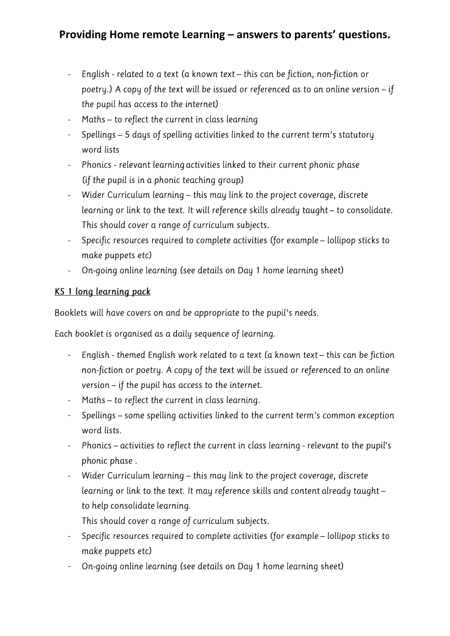- English - related to a text (a known text - this can be fiction, non-fiction or poetry.) A copy of the text will be issued or referenced as to an online version – if the pupil has access to the internet)
- Maths to reflect the current in class learning -
- Spellings 5 days of spelling activities linked to the current term's statutory word lists
- Phonics relevant learning activities linked to their current phonic phase (if the pupil is in a phonic teaching group)
- Wider Curriculum learning this may link to the project coverage, discrete learning or link to the text. It will reference skills already taught - to consolidate. This should cover a range of curriculum subjects.
- Specific resources required to complete activities (for example lollipop sticks to make puppets etc)
- On-going online learning (see details on Day 1 home learning sheet) -

#### KS 1 long learning pack

Booklets will have covers on and be appropriate to the pupil's needs.

Each booklet is organised as a daily sequence of learning.

- English themed English work related to a text (a known text this can be fiction non-fiction or poetry. A copy of the text will be issued or referenced to an online version - if the pupil has access to the internet.
- Maths to reflect the current in class learning.
- Spellings some spelling activities linked to the current term's common exception word lists.
- Phonics activities to reflect the current in class learning relevant to the pupil's phonic phase.
- Wider Curriculum learning this may link to the project coverage, discrete learning or link to the text. It may reference skills and content already taught to help consolidate learning.
	- This should cover a range of curriculum subjects.
- Specific resources required to complete activities (for example lollipop sticks to make puppets etc)
- On-going online learning (see details on Day 1 home learning sheet) -